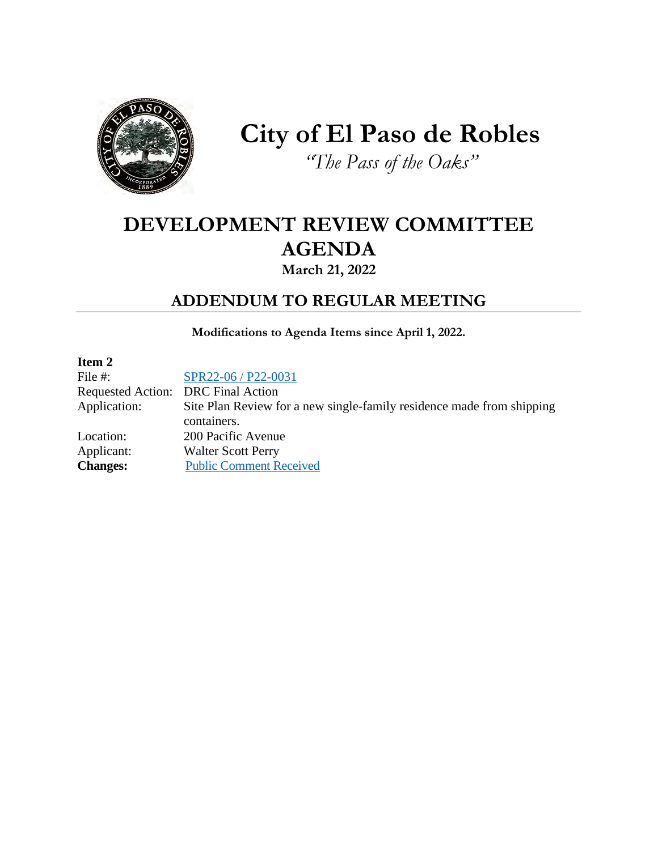

## **City of El Paso de Robles** *"The Pass of the Oaks"*

### **DEVELOPMENT REVIEW COMMITTEE AGENDA March 21, 2022**

### **ADDENDUM TO REGULAR MEETING**

**Modifications to Agenda Items since April 1, 2022.** 

| Item 2                             |                                                                       |
|------------------------------------|-----------------------------------------------------------------------|
| File $#$ :                         | SPR22-06 / P22-0031                                                   |
| Requested Action: DRC Final Action |                                                                       |
| Application:                       | Site Plan Review for a new single-family residence made from shipping |
|                                    | containers.                                                           |
| Location:                          | 200 Pacific Avenue                                                    |
| Applicant:                         | <b>Walter Scott Perry</b>                                             |
| <b>Changes:</b>                    | <b>Public Comment Received</b>                                        |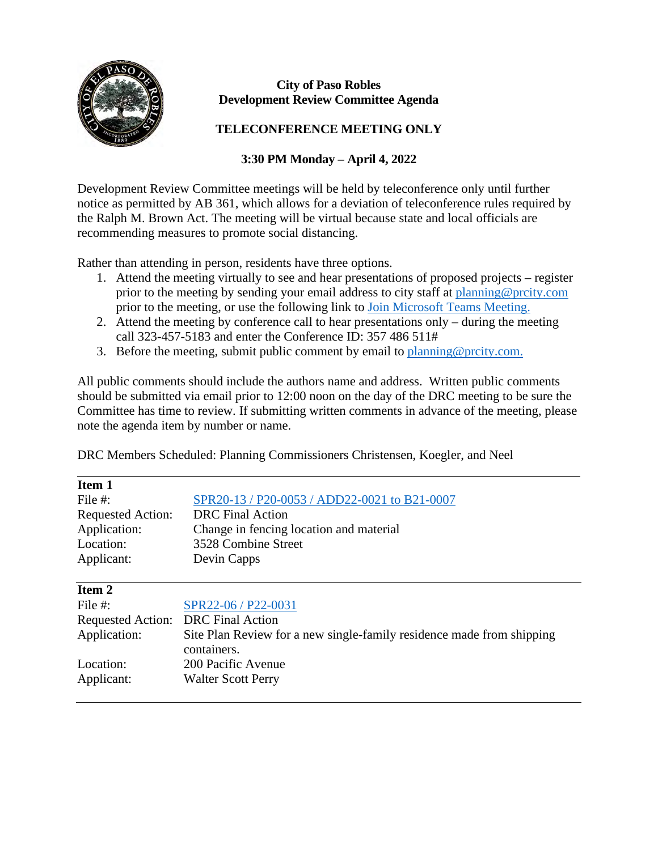

#### **City of Paso Robles Development Review Committee Agenda**

#### **TELECONFERENCE MEETING ONLY**

#### **3:30 PM Monday – April 4, 2022**

Development Review Committee meetings will be held by teleconference only until further notice as permitted by AB 361, which allows for a deviation of teleconference rules required by the Ralph M. Brown Act. The meeting will be virtual because state and local officials are recommending measures to promote social distancing.

Rather than attending in person, residents have three options.

- 1. Attend the meeting virtually to see and hear presentations of proposed projects register prior to the meeting by sending your email address to city staff at [planning@prcity.com](mailto:planning@prcity.com) prior to the meeting, or use the following link to [Join Microsoft Teams Meeting.](https://teams.microsoft.com/l/meetup-join/19%3ameeting_OTdiMzU3N2QtYzQ1Yi00NzJmLWIzZjgtN2YxYWQ4Zjk4MmMz%40thread.v2/0?context=%7b%22Tid%22%3a%221a5b5698-d524-42f2-abba-fb4615f7b1d6%22%2c%22Oid%22%3a%2266ba4e2a-3671-4e72-9d7a-eef3135a0aef%22%7d)
- 2. Attend the meeting by conference call to hear presentations only during the meeting call 323-457-5183 and enter the Conference ID: 357 486 511#
- 3. Before the meeting, submit public comment by email to [planning@prcity.com.](mailto:planning@prcity.com)

All public comments should include the authors name and address. Written public comments should be submitted via email prior to 12:00 noon on the day of the DRC meeting to be sure the Committee has time to review. If submitting written comments in advance of the meeting, please note the agenda item by number or name.

DRC Members Scheduled: Planning Commissioners Christensen, Koegler, and Neel

| Item 1                   |                                                                       |
|--------------------------|-----------------------------------------------------------------------|
| File #:                  | SPR20-13 / P20-0053 / ADD22-0021 to B21-0007                          |
| <b>Requested Action:</b> | <b>DRC</b> Final Action                                               |
| Application:             | Change in fencing location and material                               |
| Location:                | 3528 Combine Street                                                   |
| Applicant:               | Devin Capps                                                           |
|                          |                                                                       |
| Item 2                   |                                                                       |
| File #:                  | SPR22-06 / P22-0031                                                   |
| <b>Requested Action:</b> | <b>DRC</b> Final Action                                               |
| Application:             | Site Plan Review for a new single-family residence made from shipping |
|                          | containers.                                                           |
| Location:                | 200 Pacific Avenue                                                    |
| Applicant:               | <b>Walter Scott Perry</b>                                             |
|                          |                                                                       |